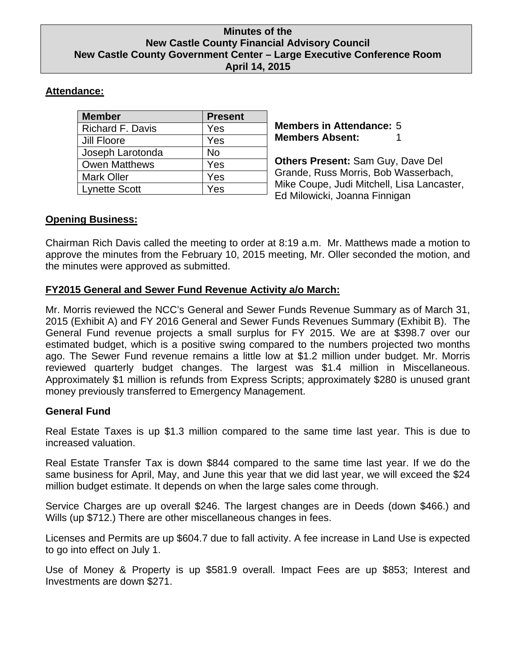### **Minutes of the New Castle County Financial Advisory Council New Castle County Government Center – Large Executive Conference Room April 14, 2015**

# **Attendance:**

| <b>Member</b>        | <b>Present</b> |
|----------------------|----------------|
| Richard F. Davis     | Yes            |
| Jill Floore          | Yes            |
| Joseph Larotonda     | No             |
| <b>Owen Matthews</b> | Yes            |
| <b>Mark Oller</b>    | Yes            |
| <b>Lynette Scott</b> | Yes            |

**Members in Attendance:** 5 **Members Absent:** 

**Others Present:** Sam Guy, Dave Del Grande, Russ Morris, Bob Wasserbach, Mike Coupe, Judi Mitchell, Lisa Lancaster, Ed Milowicki, Joanna Finnigan

## **Opening Business:**

Chairman Rich Davis called the meeting to order at 8:19 a.m. Mr. Matthews made a motion to approve the minutes from the February 10, 2015 meeting, Mr. Oller seconded the motion, and the minutes were approved as submitted.

# **FY2015 General and Sewer Fund Revenue Activity a/o March:**

Mr. Morris reviewed the NCC's General and Sewer Funds Revenue Summary as of March 31, 2015 (Exhibit A) and FY 2016 General and Sewer Funds Revenues Summary (Exhibit B). The General Fund revenue projects a small surplus for FY 2015. We are at \$398.7 over our estimated budget, which is a positive swing compared to the numbers projected two months ago. The Sewer Fund revenue remains a little low at \$1.2 million under budget. Mr. Morris reviewed quarterly budget changes. The largest was \$1.4 million in Miscellaneous. Approximately \$1 million is refunds from Express Scripts; approximately \$280 is unused grant money previously transferred to Emergency Management.

## **General Fund**

Real Estate Taxes is up \$1.3 million compared to the same time last year. This is due to increased valuation.

Real Estate Transfer Tax is down \$844 compared to the same time last year. If we do the same business for April, May, and June this year that we did last year, we will exceed the \$24 million budget estimate. It depends on when the large sales come through.

Service Charges are up overall \$246. The largest changes are in Deeds (down \$466.) and Wills (up \$712.) There are other miscellaneous changes in fees.

Licenses and Permits are up \$604.7 due to fall activity. A fee increase in Land Use is expected to go into effect on July 1.

Use of Money & Property is up \$581.9 overall. Impact Fees are up \$853; Interest and Investments are down \$271.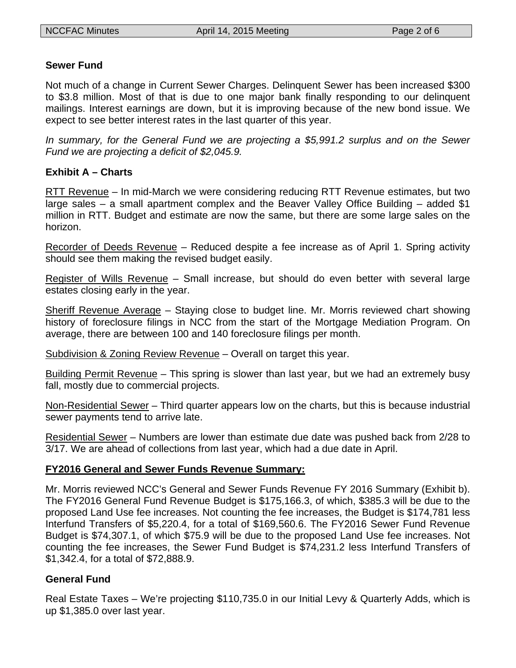#### **Sewer Fund**

Not much of a change in Current Sewer Charges. Delinquent Sewer has been increased \$300 to \$3.8 million. Most of that is due to one major bank finally responding to our delinquent mailings. Interest earnings are down, but it is improving because of the new bond issue. We expect to see better interest rates in the last quarter of this year.

*In summary, for the General Fund we are projecting a \$5,991.2 surplus and on the Sewer Fund we are projecting a deficit of \$2,045.9.* 

### **Exhibit A – Charts**

RTT Revenue – In mid-March we were considering reducing RTT Revenue estimates, but two large sales – a small apartment complex and the Beaver Valley Office Building – added \$1 million in RTT. Budget and estimate are now the same, but there are some large sales on the horizon.

Recorder of Deeds Revenue – Reduced despite a fee increase as of April 1. Spring activity should see them making the revised budget easily.

Register of Wills Revenue – Small increase, but should do even better with several large estates closing early in the year.

Sheriff Revenue Average – Staying close to budget line. Mr. Morris reviewed chart showing history of foreclosure filings in NCC from the start of the Mortgage Mediation Program. On average, there are between 100 and 140 foreclosure filings per month.

Subdivision & Zoning Review Revenue – Overall on target this year.

Building Permit Revenue – This spring is slower than last year, but we had an extremely busy fall, mostly due to commercial projects.

Non-Residential Sewer – Third quarter appears low on the charts, but this is because industrial sewer payments tend to arrive late.

Residential Sewer – Numbers are lower than estimate due date was pushed back from 2/28 to 3/17. We are ahead of collections from last year, which had a due date in April.

### **FY2016 General and Sewer Funds Revenue Summary:**

Mr. Morris reviewed NCC's General and Sewer Funds Revenue FY 2016 Summary (Exhibit b). The FY2016 General Fund Revenue Budget is \$175,166.3, of which, \$385.3 will be due to the proposed Land Use fee increases. Not counting the fee increases, the Budget is \$174,781 less Interfund Transfers of \$5,220.4, for a total of \$169,560.6. The FY2016 Sewer Fund Revenue Budget is \$74,307.1, of which \$75.9 will be due to the proposed Land Use fee increases. Not counting the fee increases, the Sewer Fund Budget is \$74,231.2 less Interfund Transfers of \$1,342.4, for a total of \$72,888.9.

## **General Fund**

Real Estate Taxes – We're projecting \$110,735.0 in our Initial Levy & Quarterly Adds, which is up \$1,385.0 over last year.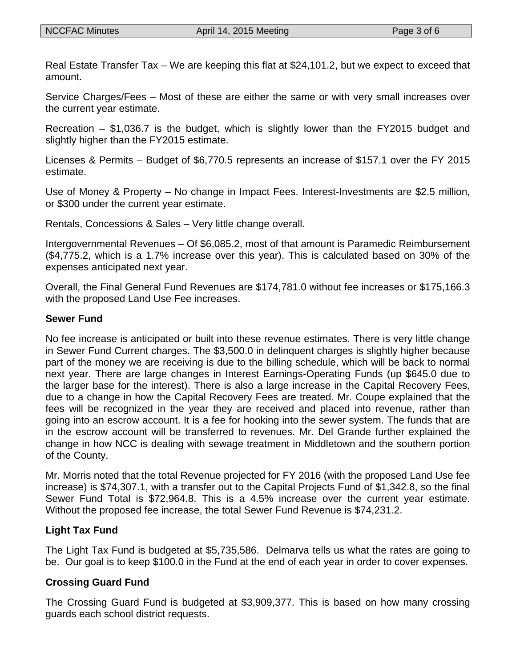Real Estate Transfer Tax – We are keeping this flat at \$24,101.2, but we expect to exceed that amount.

Service Charges/Fees – Most of these are either the same or with very small increases over the current year estimate.

Recreation – \$1,036.7 is the budget, which is slightly lower than the FY2015 budget and slightly higher than the FY2015 estimate.

Licenses & Permits – Budget of \$6,770.5 represents an increase of \$157.1 over the FY 2015 estimate.

Use of Money & Property – No change in Impact Fees. Interest-Investments are \$2.5 million, or \$300 under the current year estimate.

Rentals, Concessions & Sales – Very little change overall.

Intergovernmental Revenues – Of \$6,085.2, most of that amount is Paramedic Reimbursement (\$4,775.2, which is a 1.7% increase over this year). This is calculated based on 30% of the expenses anticipated next year.

Overall, the Final General Fund Revenues are \$174,781.0 without fee increases or \$175,166.3 with the proposed Land Use Fee increases.

### **Sewer Fund**

No fee increase is anticipated or built into these revenue estimates. There is very little change in Sewer Fund Current charges. The \$3,500.0 in delinquent charges is slightly higher because part of the money we are receiving is due to the billing schedule, which will be back to normal next year. There are large changes in Interest Earnings-Operating Funds (up \$645.0 due to the larger base for the interest). There is also a large increase in the Capital Recovery Fees, due to a change in how the Capital Recovery Fees are treated. Mr. Coupe explained that the fees will be recognized in the year they are received and placed into revenue, rather than going into an escrow account. It is a fee for hooking into the sewer system. The funds that are in the escrow account will be transferred to revenues. Mr. Del Grande further explained the change in how NCC is dealing with sewage treatment in Middletown and the southern portion of the County.

Mr. Morris noted that the total Revenue projected for FY 2016 (with the proposed Land Use fee increase) is \$74,307.1, with a transfer out to the Capital Projects Fund of \$1,342.8, so the final Sewer Fund Total is \$72,964.8. This is a 4.5% increase over the current year estimate. Without the proposed fee increase, the total Sewer Fund Revenue is \$74,231.2.

## **Light Tax Fund**

The Light Tax Fund is budgeted at \$5,735,586. Delmarva tells us what the rates are going to be. Our goal is to keep \$100.0 in the Fund at the end of each year in order to cover expenses.

### **Crossing Guard Fund**

The Crossing Guard Fund is budgeted at \$3,909,377. This is based on how many crossing guards each school district requests.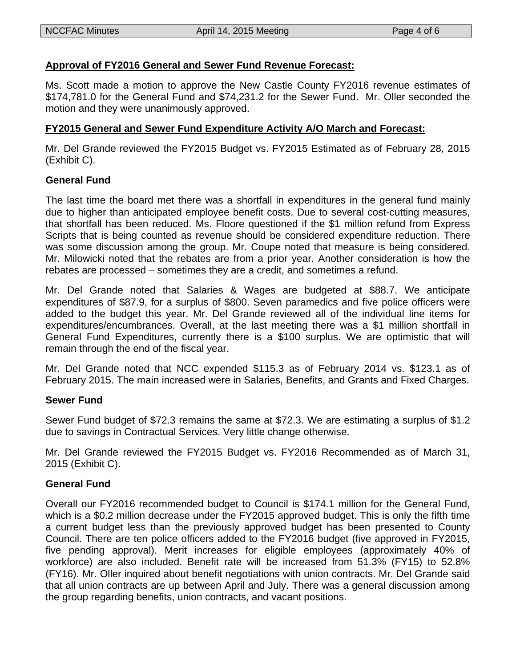### **Approval of FY2016 General and Sewer Fund Revenue Forecast:**

Ms. Scott made a motion to approve the New Castle County FY2016 revenue estimates of \$174,781.0 for the General Fund and \$74,231.2 for the Sewer Fund. Mr. Oller seconded the motion and they were unanimously approved.

#### **FY2015 General and Sewer Fund Expenditure Activity A/O March and Forecast:**

Mr. Del Grande reviewed the FY2015 Budget vs. FY2015 Estimated as of February 28, 2015 (Exhibit C).

#### **General Fund**

The last time the board met there was a shortfall in expenditures in the general fund mainly due to higher than anticipated employee benefit costs. Due to several cost-cutting measures, that shortfall has been reduced. Ms. Floore questioned if the \$1 million refund from Express Scripts that is being counted as revenue should be considered expenditure reduction. There was some discussion among the group. Mr. Coupe noted that measure is being considered. Mr. Milowicki noted that the rebates are from a prior year. Another consideration is how the rebates are processed – sometimes they are a credit, and sometimes a refund.

Mr. Del Grande noted that Salaries & Wages are budgeted at \$88.7. We anticipate expenditures of \$87.9, for a surplus of \$800. Seven paramedics and five police officers were added to the budget this year. Mr. Del Grande reviewed all of the individual line items for expenditures/encumbrances. Overall, at the last meeting there was a \$1 million shortfall in General Fund Expenditures, currently there is a \$100 surplus. We are optimistic that will remain through the end of the fiscal year.

Mr. Del Grande noted that NCC expended \$115.3 as of February 2014 vs. \$123.1 as of February 2015. The main increased were in Salaries, Benefits, and Grants and Fixed Charges.

#### **Sewer Fund**

Sewer Fund budget of \$72.3 remains the same at \$72.3. We are estimating a surplus of \$1.2 due to savings in Contractual Services. Very little change otherwise.

Mr. Del Grande reviewed the FY2015 Budget vs. FY2016 Recommended as of March 31, 2015 (Exhibit C).

#### **General Fund**

Overall our FY2016 recommended budget to Council is \$174.1 million for the General Fund, which is a \$0.2 million decrease under the FY2015 approved budget. This is only the fifth time a current budget less than the previously approved budget has been presented to County Council. There are ten police officers added to the FY2016 budget (five approved in FY2015, five pending approval). Merit increases for eligible employees (approximately 40% of workforce) are also included. Benefit rate will be increased from 51.3% (FY15) to 52.8% (FY16). Mr. Oller inquired about benefit negotiations with union contracts. Mr. Del Grande said that all union contracts are up between April and July. There was a general discussion among the group regarding benefits, union contracts, and vacant positions.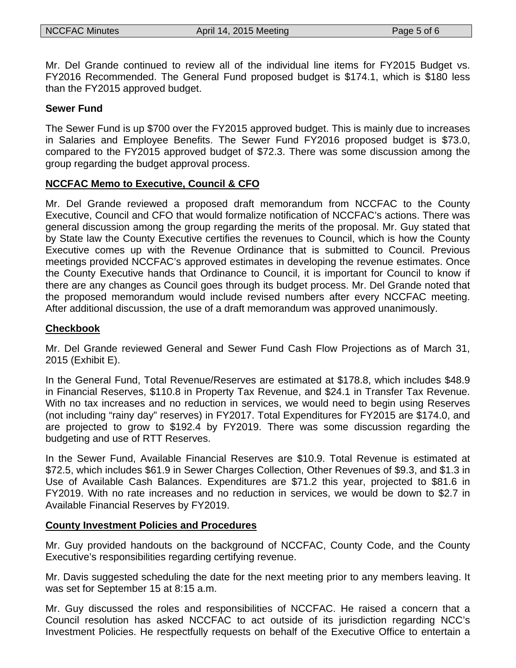Mr. Del Grande continued to review all of the individual line items for FY2015 Budget vs. FY2016 Recommended. The General Fund proposed budget is \$174.1, which is \$180 less than the FY2015 approved budget.

#### **Sewer Fund**

The Sewer Fund is up \$700 over the FY2015 approved budget. This is mainly due to increases in Salaries and Employee Benefits. The Sewer Fund FY2016 proposed budget is \$73.0, compared to the FY2015 approved budget of \$72.3. There was some discussion among the group regarding the budget approval process.

### **NCCFAC Memo to Executive, Council & CFO**

Mr. Del Grande reviewed a proposed draft memorandum from NCCFAC to the County Executive, Council and CFO that would formalize notification of NCCFAC's actions. There was general discussion among the group regarding the merits of the proposal. Mr. Guy stated that by State law the County Executive certifies the revenues to Council, which is how the County Executive comes up with the Revenue Ordinance that is submitted to Council. Previous meetings provided NCCFAC's approved estimates in developing the revenue estimates. Once the County Executive hands that Ordinance to Council, it is important for Council to know if there are any changes as Council goes through its budget process. Mr. Del Grande noted that the proposed memorandum would include revised numbers after every NCCFAC meeting. After additional discussion, the use of a draft memorandum was approved unanimously.

#### **Checkbook**

Mr. Del Grande reviewed General and Sewer Fund Cash Flow Projections as of March 31, 2015 (Exhibit E).

In the General Fund, Total Revenue/Reserves are estimated at \$178.8, which includes \$48.9 in Financial Reserves, \$110.8 in Property Tax Revenue, and \$24.1 in Transfer Tax Revenue. With no tax increases and no reduction in services, we would need to begin using Reserves (not including "rainy day" reserves) in FY2017. Total Expenditures for FY2015 are \$174.0, and are projected to grow to \$192.4 by FY2019. There was some discussion regarding the budgeting and use of RTT Reserves.

In the Sewer Fund, Available Financial Reserves are \$10.9. Total Revenue is estimated at \$72.5, which includes \$61.9 in Sewer Charges Collection, Other Revenues of \$9.3, and \$1.3 in Use of Available Cash Balances. Expenditures are \$71.2 this year, projected to \$81.6 in FY2019. With no rate increases and no reduction in services, we would be down to \$2.7 in Available Financial Reserves by FY2019.

#### **County Investment Policies and Procedures**

Mr. Guy provided handouts on the background of NCCFAC, County Code, and the County Executive's responsibilities regarding certifying revenue.

Mr. Davis suggested scheduling the date for the next meeting prior to any members leaving. It was set for September 15 at 8:15 a.m.

Mr. Guy discussed the roles and responsibilities of NCCFAC. He raised a concern that a Council resolution has asked NCCFAC to act outside of its jurisdiction regarding NCC's Investment Policies. He respectfully requests on behalf of the Executive Office to entertain a